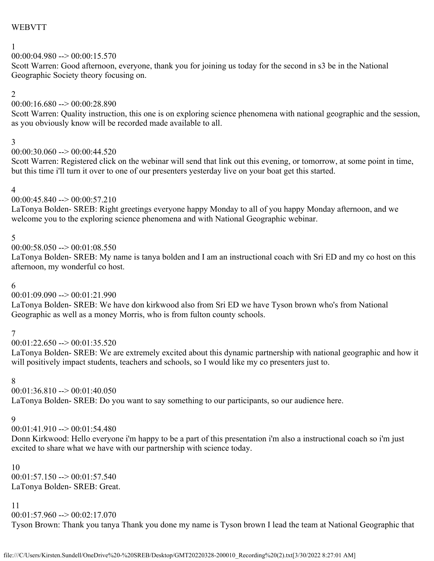## WEBVTT

## 1

## $00:00:04.980 \rightarrow 00:00:15.570$

Scott Warren: Good afternoon, everyone, thank you for joining us today for the second in s3 be in the National Geographic Society theory focusing on.

### 2

## 00:00:16.680 --> 00:00:28.890

Scott Warren: Quality instruction, this one is on exploring science phenomena with national geographic and the session, as you obviously know will be recorded made available to all.

## 3

 $00:00:30.060 \rightarrow 00:00:44.520$ 

Scott Warren: Registered click on the webinar will send that link out this evening, or tomorrow, at some point in time, but this time i'll turn it over to one of our presenters yesterday live on your boat get this started.

### 4

## $00:00:45.840 \rightarrow 00:00:57.210$

LaTonya Bolden- SREB: Right greetings everyone happy Monday to all of you happy Monday afternoon, and we welcome you to the exploring science phenomena and with National Geographic webinar.

## 5

 $00:00:58.050 \rightarrow 00:01:08.550$ 

LaTonya Bolden- SREB: My name is tanya bolden and I am an instructional coach with Sri ED and my co host on this afternoon, my wonderful co host.

## 6

## $00:01:09.090 \rightarrow 00:01:21.990$

LaTonya Bolden- SREB: We have don kirkwood also from Sri ED we have Tyson brown who's from National Geographic as well as a money Morris, who is from fulton county schools.

## 7

 $00:01:22.650 \rightarrow 00:01:35.520$ 

LaTonya Bolden- SREB: We are extremely excited about this dynamic partnership with national geographic and how it will positively impact students, teachers and schools, so I would like my co presenters just to.

## 8

 $00:01:36.810 \rightarrow 00:01:40.050$ 

LaTonya Bolden- SREB: Do you want to say something to our participants, so our audience here.

## 9

00:01:41.910 --> 00:01:54.480

Donn Kirkwood: Hello everyone i'm happy to be a part of this presentation i'm also a instructional coach so i'm just excited to share what we have with our partnership with science today.

### 10

 $00:01:57.150 \rightarrow 00:01:57.540$ LaTonya Bolden- SREB: Great.

### 11

 $00:01:57.960 \rightarrow 00:02:17.070$ 

Tyson Brown: Thank you tanya Thank you done my name is Tyson brown I lead the team at National Geographic that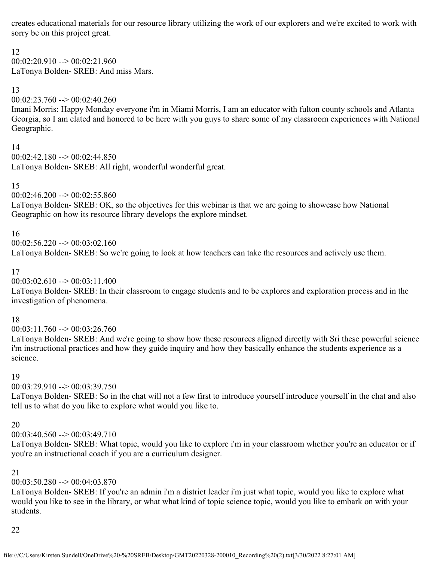creates educational materials for our resource library utilizing the work of our explorers and we're excited to work with sorry be on this project great.

12

 $00:02:20.910 \rightarrow 00:02:21.960$ LaTonya Bolden- SREB: And miss Mars.

13

00:02:23.760 --> 00:02:40.260

Imani Morris: Happy Monday everyone i'm in Miami Morris, I am an educator with fulton county schools and Atlanta Georgia, so I am elated and honored to be here with you guys to share some of my classroom experiences with National Geographic.

14

 $00:02:42.180 \rightarrow 00:02:44.850$ LaTonya Bolden- SREB: All right, wonderful wonderful great.

15

 $00:02:46.200 \rightarrow 00:02:55.860$ 

LaTonya Bolden- SREB: OK, so the objectives for this webinar is that we are going to showcase how National Geographic on how its resource library develops the explore mindset.

16

 $00:02:56.220 \rightarrow 00:03:02.160$ 

LaTonya Bolden- SREB: So we're going to look at how teachers can take the resources and actively use them.

17

 $00:03:02.610 \rightarrow 00:03:11.400$ 

LaTonya Bolden- SREB: In their classroom to engage students and to be explores and exploration process and in the investigation of phenomena.

18

 $00:03:11.760 \rightarrow 00:03:26.760$ 

LaTonya Bolden- SREB: And we're going to show how these resources aligned directly with Sri these powerful science i'm instructional practices and how they guide inquiry and how they basically enhance the students experience as a science.

## 19

 $00:03:29.910 \rightarrow 00:03:39.750$ 

LaTonya Bolden- SREB: So in the chat will not a few first to introduce yourself introduce yourself in the chat and also tell us to what do you like to explore what would you like to.

## 20

 $00:03:40.560 \rightarrow 00:03:49.710$ 

LaTonya Bolden- SREB: What topic, would you like to explore i'm in your classroom whether you're an educator or if you're an instructional coach if you are a curriculum designer.

21

## $00:03:50.280 \rightarrow 00:04:03.870$

LaTonya Bolden- SREB: If you're an admin i'm a district leader i'm just what topic, would you like to explore what would you like to see in the library, or what what kind of topic science topic, would you like to embark on with your students.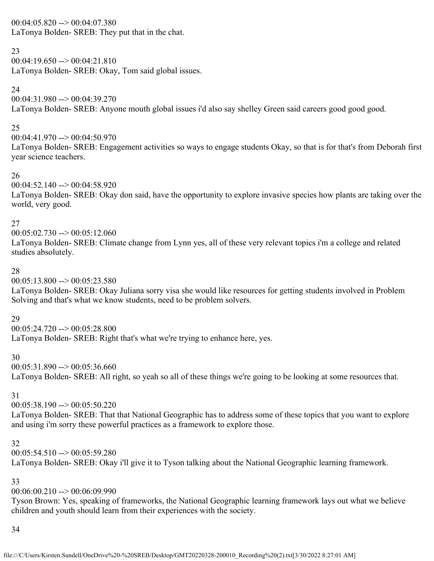### $00:04:05.820 \rightarrow 00:04:07.380$

LaTonya Bolden- SREB: They put that in the chat.

## 23

 $00:04:19.650 \rightarrow 00:04:21.810$ LaTonya Bolden- SREB: Okay, Tom said global issues.

### 24

 $00:04:31.980 \rightarrow 00:04:39.270$ 

LaTonya Bolden- SREB: Anyone mouth global issues i'd also say shelley Green said careers good good good.

## 25

 $00:04:41.970 \rightarrow 00:04:50.970$ 

LaTonya Bolden- SREB: Engagement activities so ways to engage students Okay, so that is for that's from Deborah first year science teachers.

### 26

 $00:04:52.140 \rightarrow 00:04:58.920$ 

LaTonya Bolden- SREB: Okay don said, have the opportunity to explore invasive species how plants are taking over the world, very good.

### 27

 $00:05:02.730 \rightarrow 00:05:12.060$ 

LaTonya Bolden- SREB: Climate change from Lynn yes, all of these very relevant topics i'm a college and related studies absolutely.

### 28

 $00:05:13.800 \rightarrow 00:05:23.580$ 

LaTonya Bolden- SREB: Okay Juliana sorry visa she would like resources for getting students involved in Problem Solving and that's what we know students, need to be problem solvers.

## 29

 $00:05:24.720 \rightarrow 00:05:28.800$ LaTonya Bolden- SREB: Right that's what we're trying to enhance here, yes.

### 30

 $00:05:31.890 \rightarrow 00:05:36.660$ 

LaTonya Bolden- SREB: All right, so yeah so all of these things we're going to be looking at some resources that.

## 31

00:05:38.190 --> 00:05:50.220

LaTonya Bolden- SREB: That that National Geographic has to address some of these topics that you want to explore and using i'm sorry these powerful practices as a framework to explore those.

### 32

 $00:05:54.510 \rightarrow 00:05:59.280$ LaTonya Bolden- SREB: Okay i'll give it to Tyson talking about the National Geographic learning framework.

## 33

## 00:06:00.210 --> 00:06:09.990

Tyson Brown: Yes, speaking of frameworks, the National Geographic learning framework lays out what we believe children and youth should learn from their experiences with the society.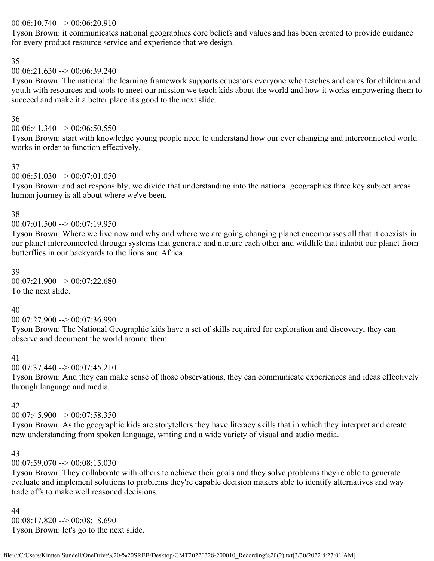### 00:06:10.740 --> 00:06:20.910

Tyson Brown: it communicates national geographics core beliefs and values and has been created to provide guidance for every product resource service and experience that we design.

### 35

## $00:06:21.630 \rightarrow 00:06:39.240$

Tyson Brown: The national the learning framework supports educators everyone who teaches and cares for children and youth with resources and tools to meet our mission we teach kids about the world and how it works empowering them to succeed and make it a better place it's good to the next slide.

## 36

00:06:41.340 --> 00:06:50.550

Tyson Brown: start with knowledge young people need to understand how our ever changing and interconnected world works in order to function effectively.

### 37

### $00:06:51.030 \rightarrow 00:07:01.050$

Tyson Brown: and act responsibly, we divide that understanding into the national geographics three key subject areas human journey is all about where we've been.

### 38

### $00:07:01.500 \rightarrow 00:07:19.950$

Tyson Brown: Where we live now and why and where we are going changing planet encompasses all that it coexists in our planet interconnected through systems that generate and nurture each other and wildlife that inhabit our planet from butterflies in our backyards to the lions and Africa.

39  $00:07:21.900 \rightarrow 00:07:22.680$ To the next slide.

## 40

### $00:07:27.900 \rightarrow 00:07:36.990$

Tyson Brown: The National Geographic kids have a set of skills required for exploration and discovery, they can observe and document the world around them.

## 41

 $00:07:37.440 \rightarrow 00:07:45.210$ 

Tyson Brown: And they can make sense of those observations, they can communicate experiences and ideas effectively through language and media.

## 42

 $00:07:45.900 \rightarrow 00:07:58.350$ 

Tyson Brown: As the geographic kids are storytellers they have literacy skills that in which they interpret and create new understanding from spoken language, writing and a wide variety of visual and audio media.

### 43

## $00:07:59.070 \rightarrow 00:08:15.030$

Tyson Brown: They collaborate with others to achieve their goals and they solve problems they're able to generate evaluate and implement solutions to problems they're capable decision makers able to identify alternatives and way trade offs to make well reasoned decisions.

44

00:08:17.820 --> 00:08:18.690 Tyson Brown: let's go to the next slide.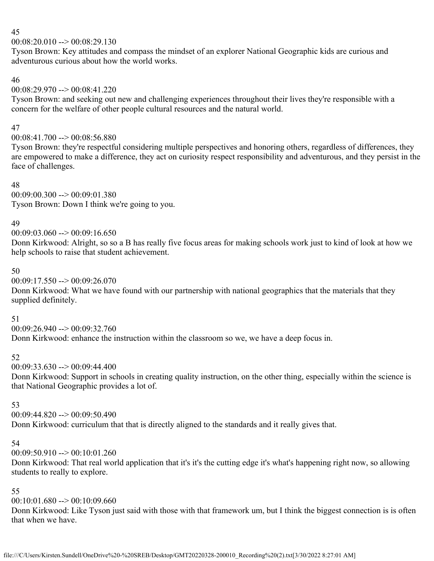### 45

### $00:08:20.010 \rightarrow 00:08:29.130$

Tyson Brown: Key attitudes and compass the mindset of an explorer National Geographic kids are curious and adventurous curious about how the world works.

46

 $00:08:29.970 \rightarrow 00:08:41.220$ 

Tyson Brown: and seeking out new and challenging experiences throughout their lives they're responsible with a concern for the welfare of other people cultural resources and the natural world.

## 47

 $00:08:41.700 \rightarrow 00:08:56.880$ 

Tyson Brown: they're respectful considering multiple perspectives and honoring others, regardless of differences, they are empowered to make a difference, they act on curiosity respect responsibility and adventurous, and they persist in the face of challenges.

48

 $00:09:00.300 \rightarrow 00:09:01.380$ Tyson Brown: Down I think we're going to you.

## 49

 $00:09:03.060 \rightarrow 00:09:16.650$ 

Donn Kirkwood: Alright, so so a B has really five focus areas for making schools work just to kind of look at how we help schools to raise that student achievement.

## 50

 $00:09:17.550 \rightarrow 00:09:26.070$ 

Donn Kirkwood: What we have found with our partnership with national geographics that the materials that they supplied definitely.

### 51

 $00:09:26.940 \rightarrow 00:09:32.760$ Donn Kirkwood: enhance the instruction within the classroom so we, we have a deep focus in.

## 52

 $00:09:33.630 \rightarrow 00:09:44.400$ 

Donn Kirkwood: Support in schools in creating quality instruction, on the other thing, especially within the science is that National Geographic provides a lot of.

### 53

 $00:09:44.820 \rightarrow 00:09:50.490$ 

Donn Kirkwood: curriculum that that is directly aligned to the standards and it really gives that.

## 54

 $00:09:50.910 \rightarrow 00:10:01.260$ 

Donn Kirkwood: That real world application that it's it's the cutting edge it's what's happening right now, so allowing students to really to explore.

## 55

 $00:10:01.680 \rightarrow 00:10:09.660$ 

Donn Kirkwood: Like Tyson just said with those with that framework um, but I think the biggest connection is is often that when we have.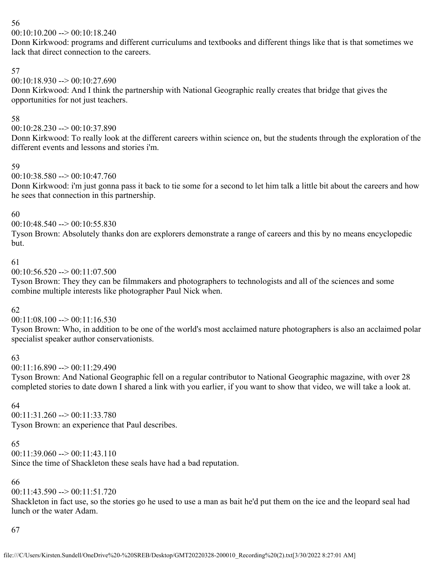## 56

 $00:10:10.200 \rightarrow 00:10:18.240$ 

Donn Kirkwood: programs and different curriculums and textbooks and different things like that is that sometimes we lack that direct connection to the careers.

## 57

 $00:10:18.930 \rightarrow 00:10:27.690$ 

Donn Kirkwood: And I think the partnership with National Geographic really creates that bridge that gives the opportunities for not just teachers.

## 58

00:10:28.230 --> 00:10:37.890

Donn Kirkwood: To really look at the different careers within science on, but the students through the exploration of the different events and lessons and stories i'm.

## 59

 $00:10:38.580 \rightarrow 00:10:47.760$ 

Donn Kirkwood: i'm just gonna pass it back to tie some for a second to let him talk a little bit about the careers and how he sees that connection in this partnership.

### 60

 $00:10:48.540 \rightarrow 00:10:55.830$ 

Tyson Brown: Absolutely thanks don are explorers demonstrate a range of careers and this by no means encyclopedic but.

### 61

 $00:10:56.520 \rightarrow 00:11:07.500$ 

Tyson Brown: They they can be filmmakers and photographers to technologists and all of the sciences and some combine multiple interests like photographer Paul Nick when.

## 62

 $00:11:08.100 \rightarrow 00:11:16.530$ 

Tyson Brown: Who, in addition to be one of the world's most acclaimed nature photographers is also an acclaimed polar specialist speaker author conservationists.

## 63

 $00:11:16.890 \rightarrow 00:11:29.490$ 

Tyson Brown: And National Geographic fell on a regular contributor to National Geographic magazine, with over 28 completed stories to date down I shared a link with you earlier, if you want to show that video, we will take a look at.

## 64

00:11:31.260 --> 00:11:33.780 Tyson Brown: an experience that Paul describes.

### 65

 $00:11:39.060 \rightarrow 00:11:43.110$ 

Since the time of Shackleton these seals have had a bad reputation.

## 66

 $00:11:43.590 \rightarrow 00:11:51.720$ 

Shackleton in fact use, so the stories go he used to use a man as bait he'd put them on the ice and the leopard seal had lunch or the water Adam.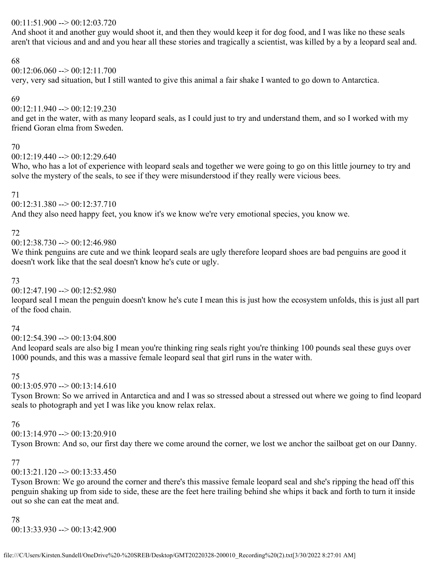### 00:11:51.900 --> 00:12:03.720

And shoot it and another guy would shoot it, and then they would keep it for dog food, and I was like no these seals aren't that vicious and and and you hear all these stories and tragically a scientist, was killed by a by a leopard seal and.

### 68

 $00:12:06.060 \rightarrow 00:12:11.700$ 

very, very sad situation, but I still wanted to give this animal a fair shake I wanted to go down to Antarctica.

## 69

 $00:12:11.940 \rightarrow 00:12:19.230$ 

and get in the water, with as many leopard seals, as I could just to try and understand them, and so I worked with my friend Goran elma from Sweden.

### 70

 $00:12:19.440 \rightarrow 00:12:29.640$ 

Who, who has a lot of experience with leopard seals and together we were going to go on this little journey to try and solve the mystery of the seals, to see if they were misunderstood if they really were vicious bees.

## 71

00:12:31.380 --> 00:12:37.710

And they also need happy feet, you know it's we know we're very emotional species, you know we.

## 72

00:12:38.730 --> 00:12:46.980

We think penguins are cute and we think leopard seals are ugly therefore leopard shoes are bad penguins are good it doesn't work like that the seal doesn't know he's cute or ugly.

## 73

 $00:12:47.190 \rightarrow 00:12:52.980$ 

leopard seal I mean the penguin doesn't know he's cute I mean this is just how the ecosystem unfolds, this is just all part of the food chain.

## 74

00:12:54.390 --> 00:13:04.800

And leopard seals are also big I mean you're thinking ring seals right you're thinking 100 pounds seal these guys over 1000 pounds, and this was a massive female leopard seal that girl runs in the water with.

## 75

 $00:13:05.970 \rightarrow 00:13:14.610$ 

Tyson Brown: So we arrived in Antarctica and and I was so stressed about a stressed out where we going to find leopard seals to photograph and yet I was like you know relax relax.

## 76

 $00:13:14.970 \rightarrow 00:13:20.910$ 

Tyson Brown: And so, our first day there we come around the corner, we lost we anchor the sailboat get on our Danny.

## 77

 $00:13:21.120 \rightarrow 00:13:33.450$ 

Tyson Brown: We go around the corner and there's this massive female leopard seal and she's ripping the head off this penguin shaking up from side to side, these are the feet here trailing behind she whips it back and forth to turn it inside out so she can eat the meat and.

78 00:13:33.930 --> 00:13:42.900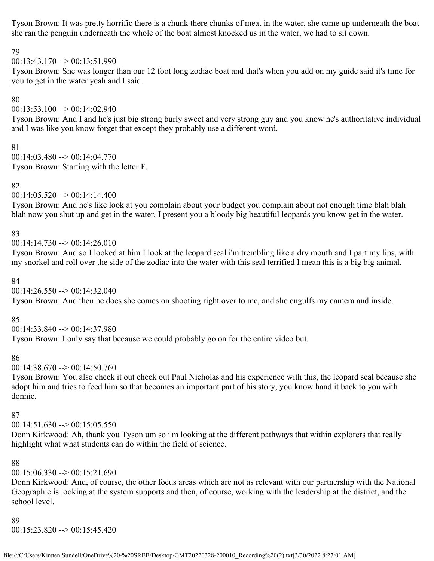Tyson Brown: It was pretty horrific there is a chunk there chunks of meat in the water, she came up underneath the boat she ran the penguin underneath the whole of the boat almost knocked us in the water, we had to sit down.

### 79

 $00:13:43.170 \rightarrow 00:13:51.990$ 

Tyson Brown: She was longer than our 12 foot long zodiac boat and that's when you add on my guide said it's time for you to get in the water yeah and I said.

### 80

 $00:13:53.100 \rightarrow 00:14:02.940$ 

Tyson Brown: And I and he's just big strong burly sweet and very strong guy and you know he's authoritative individual and I was like you know forget that except they probably use a different word.

### 81

 $00:14:03.480 \rightarrow 00:14:04.770$ Tyson Brown: Starting with the letter F.

## 82

 $00:14:05.520 \rightarrow 00:14:14.400$ 

Tyson Brown: And he's like look at you complain about your budget you complain about not enough time blah blah blah now you shut up and get in the water, I present you a bloody big beautiful leopards you know get in the water.

### 83

 $00:14:14.730 \rightarrow 00:14:26.010$ 

Tyson Brown: And so I looked at him I look at the leopard seal i'm trembling like a dry mouth and I part my lips, with my snorkel and roll over the side of the zodiac into the water with this seal terrified I mean this is a big big animal.

### 84

 $00:14:26.550 \rightarrow 00:14:32.040$ 

Tyson Brown: And then he does she comes on shooting right over to me, and she engulfs my camera and inside.

## 85

00:14:33.840 --> 00:14:37.980

Tyson Brown: I only say that because we could probably go on for the entire video but.

## 86

 $00:14:38.670 \rightarrow 00:14:50.760$ 

Tyson Brown: You also check it out check out Paul Nicholas and his experience with this, the leopard seal because she adopt him and tries to feed him so that becomes an important part of his story, you know hand it back to you with donnie.

### 87

 $00:14:51.630 \rightarrow 00:15:05.550$ 

Donn Kirkwood: Ah, thank you Tyson um so i'm looking at the different pathways that within explorers that really highlight what what students can do within the field of science.

## 88

 $00:15:06.330 \rightarrow 00:15:21.690$ 

Donn Kirkwood: And, of course, the other focus areas which are not as relevant with our partnership with the National Geographic is looking at the system supports and then, of course, working with the leadership at the district, and the school level.

### 89 00:15:23.820 --> 00:15:45.420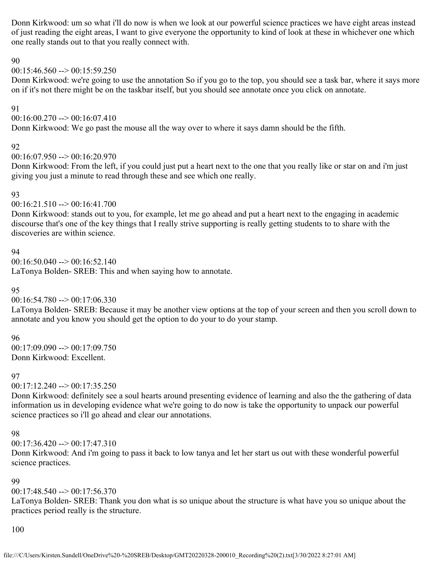Donn Kirkwood: um so what i'll do now is when we look at our powerful science practices we have eight areas instead of just reading the eight areas, I want to give everyone the opportunity to kind of look at these in whichever one which one really stands out to that you really connect with.

#### 90

### $00:15:46.560 \rightarrow 00:15:59.250$

Donn Kirkwood: we're going to use the annotation So if you go to the top, you should see a task bar, where it says more on if it's not there might be on the taskbar itself, but you should see annotate once you click on annotate.

#### 91

 $00:16:00.270 \rightarrow 00:16:07.410$ 

Donn Kirkwood: We go past the mouse all the way over to where it says damn should be the fifth.

#### 92

 $00:16:07.950 \rightarrow 00:16:20.970$ 

Donn Kirkwood: From the left, if you could just put a heart next to the one that you really like or star on and i'm just giving you just a minute to read through these and see which one really.

### 93

00:16:21.510 --> 00:16:41.700

Donn Kirkwood: stands out to you, for example, let me go ahead and put a heart next to the engaging in academic discourse that's one of the key things that I really strive supporting is really getting students to to share with the discoveries are within science.

### 94

 $00:16:50.040 \rightarrow 00:16:52.140$ 

LaTonya Bolden- SREB: This and when saying how to annotate.

### 95

 $00:16:54.780 \rightarrow 00:17:06.330$ 

LaTonya Bolden- SREB: Because it may be another view options at the top of your screen and then you scroll down to annotate and you know you should get the option to do your to do your stamp.

### 96

 $00:17:09.090 \rightarrow 00:17:09.750$ Donn Kirkwood: Excellent.

### 97

00:17:12.240 --> 00:17:35.250

Donn Kirkwood: definitely see a soul hearts around presenting evidence of learning and also the the gathering of data information us in developing evidence what we're going to do now is take the opportunity to unpack our powerful science practices so i'll go ahead and clear our annotations.

### 98

00:17:36.420 --> 00:17:47.310

Donn Kirkwood: And i'm going to pass it back to low tanya and let her start us out with these wonderful powerful science practices.

### 99

00:17:48.540 --> 00:17:56.370

LaTonya Bolden- SREB: Thank you don what is so unique about the structure is what have you so unique about the practices period really is the structure.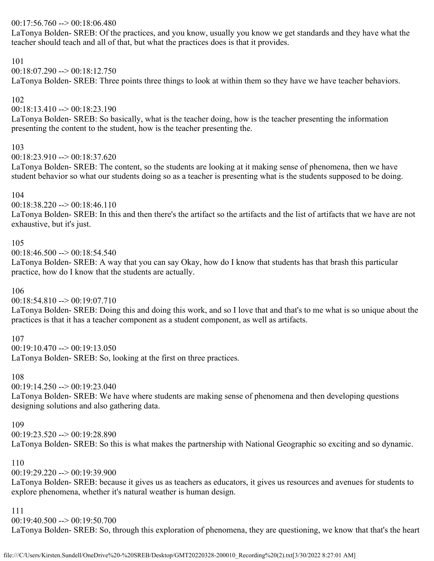## 00:17:56.760 --> 00:18:06.480

LaTonya Bolden- SREB: Of the practices, and you know, usually you know we get standards and they have what the teacher should teach and all of that, but what the practices does is that it provides.

### 101

 $00:18:07.290 \rightarrow 00:18:12.750$ 

LaTonya Bolden- SREB: Three points three things to look at within them so they have we have teacher behaviors.

### 102

00:18:13.410 --> 00:18:23.190

LaTonya Bolden- SREB: So basically, what is the teacher doing, how is the teacher presenting the information presenting the content to the student, how is the teacher presenting the.

### 103

 $00:18:23.910 \rightarrow 00:18:37.620$ 

LaTonya Bolden- SREB: The content, so the students are looking at it making sense of phenomena, then we have student behavior so what our students doing so as a teacher is presenting what is the students supposed to be doing.

### 104

00:18:38.220 --> 00:18:46.110

LaTonya Bolden- SREB: In this and then there's the artifact so the artifacts and the list of artifacts that we have are not exhaustive, but it's just.

### 105

 $00:18:46.500 \rightarrow 00:18:54.540$ 

LaTonya Bolden- SREB: A way that you can say Okay, how do I know that students has that brash this particular practice, how do I know that the students are actually.

### 106

00:18:54.810 --> 00:19:07.710

LaTonya Bolden- SREB: Doing this and doing this work, and so I love that and that's to me what is so unique about the practices is that it has a teacher component as a student component, as well as artifacts.

### 107

 $00:19:10.470 \rightarrow 00:19:13.050$ LaTonya Bolden- SREB: So, looking at the first on three practices.

#### 108

 $00:19:14.250 \rightarrow 00:19:23.040$ 

LaTonya Bolden- SREB: We have where students are making sense of phenomena and then developing questions designing solutions and also gathering data.

### 109

 $00:19:23.520 \rightarrow 00:19:28.890$ 

LaTonya Bolden- SREB: So this is what makes the partnership with National Geographic so exciting and so dynamic.

### 110

 $00:19:29.220 \rightarrow 00:19:39.900$ 

LaTonya Bolden- SREB: because it gives us as teachers as educators, it gives us resources and avenues for students to explore phenomena, whether it's natural weather is human design.

### 111

00:19:40.500 --> 00:19:50.700

LaTonya Bolden- SREB: So, through this exploration of phenomena, they are questioning, we know that that's the heart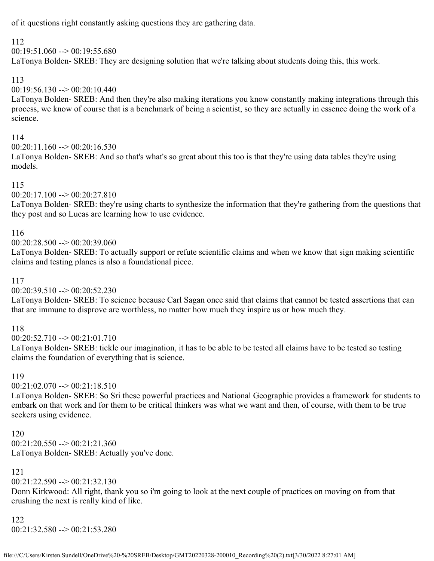of it questions right constantly asking questions they are gathering data.

## 112

 $00:19:51.060 \rightarrow 00:19:55.680$ 

LaTonya Bolden- SREB: They are designing solution that we're talking about students doing this, this work.

## 113

00:19:56.130 --> 00:20:10.440

LaTonya Bolden- SREB: And then they're also making iterations you know constantly making integrations through this process, we know of course that is a benchmark of being a scientist, so they are actually in essence doing the work of a science.

## 114

 $00:20:11.160 \rightarrow 00:20:16.530$ 

LaTonya Bolden- SREB: And so that's what's so great about this too is that they're using data tables they're using models.

## 115

00:20:17.100 --> 00:20:27.810

LaTonya Bolden- SREB: they're using charts to synthesize the information that they're gathering from the questions that they post and so Lucas are learning how to use evidence.

### 116

00:20:28.500 --> 00:20:39.060

LaTonya Bolden- SREB: To actually support or refute scientific claims and when we know that sign making scientific claims and testing planes is also a foundational piece.

## 117

 $00:20:39.510 \rightarrow 00:20:52.230$ 

LaTonya Bolden- SREB: To science because Carl Sagan once said that claims that cannot be tested assertions that can that are immune to disprove are worthless, no matter how much they inspire us or how much they.

### 118

00:20:52.710 --> 00:21:01.710

LaTonya Bolden- SREB: tickle our imagination, it has to be able to be tested all claims have to be tested so testing claims the foundation of everything that is science.

### 119

 $00:21:02.070 \rightarrow 00:21:18.510$ 

LaTonya Bolden- SREB: So Sri these powerful practices and National Geographic provides a framework for students to embark on that work and for them to be critical thinkers was what we want and then, of course, with them to be true seekers using evidence.

120 00:21:20.550 --> 00:21:21.360 LaTonya Bolden- SREB: Actually you've done.

## 121

 $00:21:22.590 \rightarrow 00:21:32.130$ 

Donn Kirkwood: All right, thank you so i'm going to look at the next couple of practices on moving on from that crushing the next is really kind of like.

122

00:21:32.580 --> 00:21:53.280

file:///C/Users/Kirsten.Sundell/OneDrive%20-%20SREB/Desktop/GMT20220328-200010\_Recording%20(2).txt[3/30/2022 8:27:01 AM]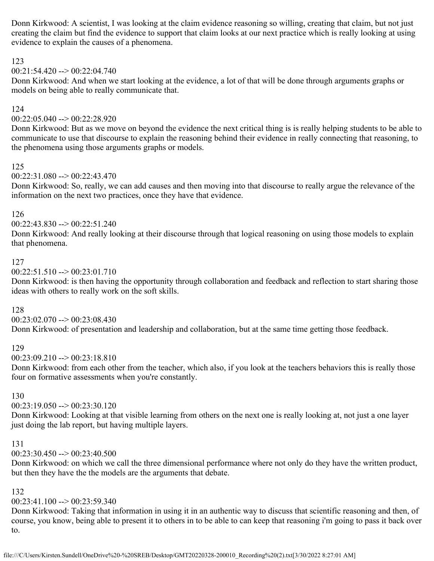Donn Kirkwood: A scientist, I was looking at the claim evidence reasoning so willing, creating that claim, but not just creating the claim but find the evidence to support that claim looks at our next practice which is really looking at using evidence to explain the causes of a phenomena.

### 123

 $00:21:54.420 \rightarrow 00:22:04.740$ 

Donn Kirkwood: And when we start looking at the evidence, a lot of that will be done through arguments graphs or models on being able to really communicate that.

#### 124

00:22:05.040 --> 00:22:28.920

Donn Kirkwood: But as we move on beyond the evidence the next critical thing is is really helping students to be able to communicate to use that discourse to explain the reasoning behind their evidence in really connecting that reasoning, to the phenomena using those arguments graphs or models.

#### 125

 $00:22:31.080 \rightarrow 00:22:43.470$ 

Donn Kirkwood: So, really, we can add causes and then moving into that discourse to really argue the relevance of the information on the next two practices, once they have that evidence.

#### 126

 $00:22:43.830 \rightarrow 00:22:51.240$ 

Donn Kirkwood: And really looking at their discourse through that logical reasoning on using those models to explain that phenomena.

#### 127

00:22:51.510 --> 00:23:01.710

Donn Kirkwood: is then having the opportunity through collaboration and feedback and reflection to start sharing those ideas with others to really work on the soft skills.

#### 128

 $00:23:02.070 \rightarrow 00:23:08.430$ 

Donn Kirkwood: of presentation and leadership and collaboration, but at the same time getting those feedback.

### 129

 $00:23:09.210 \rightarrow 00:23:18.810$ 

Donn Kirkwood: from each other from the teacher, which also, if you look at the teachers behaviors this is really those four on formative assessments when you're constantly.

#### 130

00:23:19.050 --> 00:23:30.120

Donn Kirkwood: Looking at that visible learning from others on the next one is really looking at, not just a one layer just doing the lab report, but having multiple layers.

#### 131

 $00:23:30.450 \rightarrow 00:23:40.500$ 

Donn Kirkwood: on which we call the three dimensional performance where not only do they have the written product, but then they have the the models are the arguments that debate.

### 132

#### $00:23:41.100 \rightarrow 00:23:59.340$

Donn Kirkwood: Taking that information in using it in an authentic way to discuss that scientific reasoning and then, of course, you know, being able to present it to others in to be able to can keep that reasoning i'm going to pass it back over to.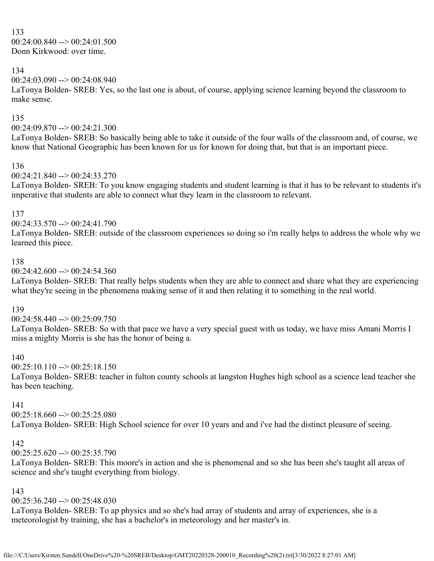133  $00:24:00.840 \rightarrow 00:24:01.500$ Donn Kirkwood: over time.

### 134

 $00:24:03.090 \rightarrow 00:24:08.940$ 

LaTonya Bolden- SREB: Yes, so the last one is about, of course, applying science learning beyond the classroom to make sense.

#### 135

00:24:09.870 --> 00:24:21.300

LaTonya Bolden- SREB: So basically being able to take it outside of the four walls of the classroom and, of course, we know that National Geographic has been known for us for known for doing that, but that is an important piece.

#### 136

00:24:21.840 --> 00:24:33.270

LaTonya Bolden- SREB: To you know engaging students and student learning is that it has to be relevant to students it's imperative that students are able to connect what they learn in the classroom to relevant.

#### 137

 $00:24:33.570 \rightarrow 00:24:41.790$ 

LaTonya Bolden- SREB: outside of the classroom experiences so doing so i'm really helps to address the whole why we learned this piece.

#### 138

 $00:24:42.600 \rightarrow 00:24:54.360$ 

LaTonya Bolden- SREB: That really helps students when they are able to connect and share what they are experiencing what they're seeing in the phenomena making sense of it and then relating it to something in the real world.

#### 139

 $00:24:58.440 \rightarrow 00:25:09.750$ 

LaTonya Bolden- SREB: So with that pace we have a very special guest with us today, we have miss Amani Morris I miss a mighty Morris is she has the honor of being a.

#### 140

 $00:25:10.110 \rightarrow 00:25:18.150$ 

LaTonya Bolden- SREB: teacher in fulton county schools at langston Hughes high school as a science lead teacher she has been teaching.

#### 141

00:25:18.660 --> 00:25:25.080

LaTonya Bolden- SREB: High School science for over 10 years and and i've had the distinct pleasure of seeing.

### 142

 $00:25:25.620 \rightarrow 00:25:35.790$ 

LaTonya Bolden- SREB: This moore's in action and she is phenomenal and so she has been she's taught all areas of science and she's taught everything from biology.

### 143

 $00:25:36.240 \rightarrow 00:25:48.030$ 

LaTonya Bolden- SREB: To ap physics and so she's had array of students and array of experiences, she is a meteorologist by training, she has a bachelor's in meteorology and her master's in.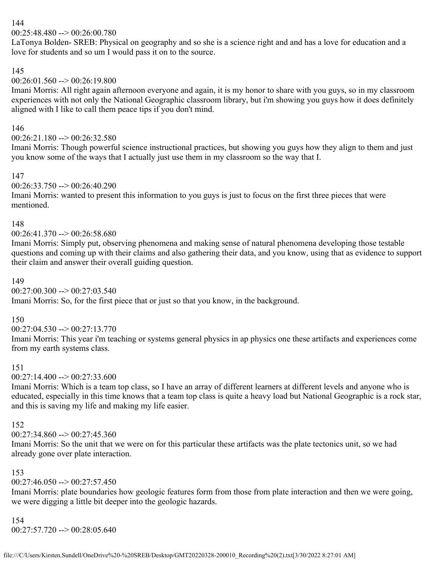## 144

 $00:25:48.480 \rightarrow 00:26:00.780$ 

LaTonya Bolden- SREB: Physical on geography and so she is a science right and and has a love for education and a love for students and so um I would pass it on to the source.

### 145

## $00:26:01.560 \rightarrow 00:26:19.800$

Imani Morris: All right again afternoon everyone and again, it is my honor to share with you guys, so in my classroom experiences with not only the National Geographic classroom library, but i'm showing you guys how it does definitely aligned with I like to call them peace tips if you don't mind.

## 146

 $00:26:21.180 \rightarrow 00:26:32.580$ 

Imani Morris: Though powerful science instructional practices, but showing you guys how they align to them and just you know some of the ways that I actually just use them in my classroom so the way that I.

### 147

### 00:26:33.750 --> 00:26:40.290

Imani Morris: wanted to present this information to you guys is just to focus on the first three pieces that were mentioned.

### 148

### 00:26:41.370 --> 00:26:58.680

Imani Morris: Simply put, observing phenomena and making sense of natural phenomena developing those testable questions and coming up with their claims and also gathering their data, and you know, using that as evidence to support their claim and answer their overall guiding question.

### 149

 $00:27:00.300 \rightarrow 00:27:03.540$ 

Imani Morris: So, for the first piece that or just so that you know, in the background.

### 150

 $00:27:04.530 \rightarrow 00:27:13.770$ 

Imani Morris: This year i'm teaching or systems general physics in ap physics one these artifacts and experiences come from my earth systems class.

### 151

00:27:14.400 --> 00:27:33.600

Imani Morris: Which is a team top class, so I have an array of different learners at different levels and anyone who is educated, especially in this time knows that a team top class is quite a heavy load but National Geographic is a rock star, and this is saving my life and making my life easier.

### 152

 $00:27:34.860 \rightarrow 00:27:45.360$ 

Imani Morris: So the unit that we were on for this particular these artifacts was the plate tectonics unit, so we had already gone over plate interaction.

### 153

 $00:27:46.050 \rightarrow 00:27:57.450$ 

Imani Morris: plate boundaries how geologic features form from those from plate interaction and then we were going, we were digging a little bit deeper into the geologic hazards.

#### 154 00:27:57.720 --> 00:28:05.640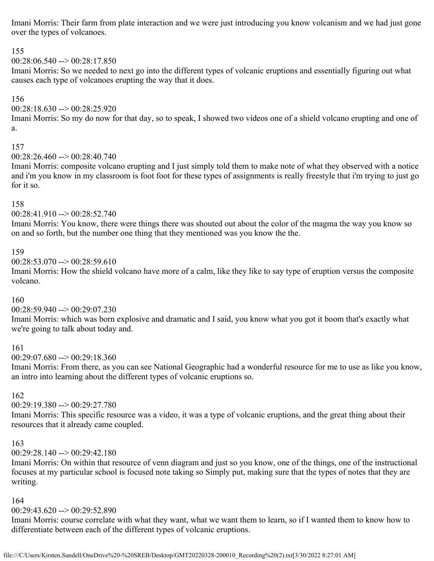Imani Morris: Their farm from plate interaction and we were just introducing you know volcanism and we had just gone over the types of volcanoes.

### 155

 $00:28:06.540 \rightarrow 00:28:17.850$ 

Imani Morris: So we needed to next go into the different types of volcanic eruptions and essentially figuring out what causes each type of volcanoes erupting the way that it does.

## 156

### $00:28:18.630 \rightarrow 00:28:25.920$

Imani Morris: So my do now for that day, so to speak, I showed two videos one of a shield volcano erupting and one of a.

### 157

 $00:28:26.460 \rightarrow 00:28:40.740$ 

Imani Morris: composite volcano erupting and I just simply told them to make note of what they observed with a notice and i'm you know in my classroom is foot foot for these types of assignments is really freestyle that i'm trying to just go for it so.

### 158

00:28:41.910 --> 00:28:52.740

Imani Morris: You know, there were things there was shouted out about the color of the magma the way you know so on and so forth, but the number one thing that they mentioned was you know the the.

### 159

 $00:28:53.070 \rightarrow 00:28:59.610$ 

Imani Morris: How the shield volcano have more of a calm, like they like to say type of eruption versus the composite volcano.

### 160

00:28:59.940 --> 00:29:07.230

Imani Morris: which was born explosive and dramatic and I said, you know what you got it boom that's exactly what we're going to talk about today and.

### 161

00:29:07.680 --> 00:29:18.360

Imani Morris: From there, as you can see National Geographic had a wonderful resource for me to use as like you know, an intro into learning about the different types of volcanic eruptions so.

## 162

00:29:19.380 --> 00:29:27.780

Imani Morris: This specific resource was a video, it was a type of volcanic eruptions, and the great thing about their resources that it already came coupled.

### 163

00:29:28.140 --> 00:29:42.180

Imani Morris: On within that resource of venn diagram and just so you know, one of the things, one of the instructional focuses at my particular school is focused note taking so Simply put, making sure that the types of notes that they are writing.

### 164

### 00:29:43.620 --> 00:29:52.890

Imani Morris: course correlate with what they want, what we want them to learn, so if I wanted them to know how to differentiate between each of the different types of volcanic eruptions.

file:///C/Users/Kirsten.Sundell/OneDrive%20-%20SREB/Desktop/GMT20220328-200010\_Recording%20(2).txt[3/30/2022 8:27:01 AM]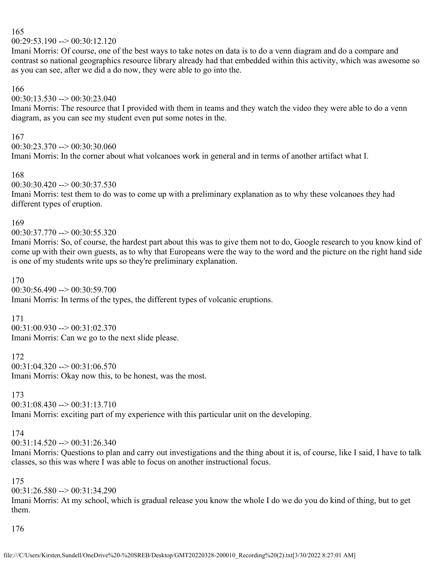#### 165

00:29:53.190 --> 00:30:12.120

Imani Morris: Of course, one of the best ways to take notes on data is to do a venn diagram and do a compare and contrast so national geographics resource library already had that embedded within this activity, which was awesome so as you can see, after we did a do now, they were able to go into the.

#### 166

 $00:30:13.530 \rightarrow 00:30:23.040$ 

Imani Morris: The resource that I provided with them in teams and they watch the video they were able to do a venn diagram, as you can see my student even put some notes in the.

### 167

00:30:23.370 --> 00:30:30.060 Imani Morris: In the corner about what volcanoes work in general and in terms of another artifact what I.

#### 168

 $00:30:30.420 \rightarrow 00:30:37.530$ 

Imani Morris: test them to do was to come up with a preliminary explanation as to why these volcanoes they had different types of eruption.

#### 169

00:30:37.770 --> 00:30:55.320

Imani Morris: So, of course, the hardest part about this was to give them not to do, Google research to you know kind of come up with their own guests, as to why that Europeans were the way to the word and the picture on the right hand side is one of my students write ups so they're preliminary explanation.

### 170

 $00:30:56.490 \rightarrow 00:30:59.700$ 

Imani Morris: In terms of the types, the different types of volcanic eruptions.

#### 171

 $00:31:00.930 \rightarrow 00:31:02.370$ Imani Morris: Can we go to the next slide please.

### 172

 $00:31:04.320 \rightarrow 00:31:06.570$ Imani Morris: Okay now this, to be honest, was the most.

## 173

00:31:08.430 --> 00:31:13.710 Imani Morris: exciting part of my experience with this particular unit on the developing.

## 174

 $00:31:14.520 \rightarrow 00:31:26.340$ 

Imani Morris: Questions to plan and carry out investigations and the thing about it is, of course, like I said, I have to talk classes, so this was where I was able to focus on another instructional focus.

### 175

00:31:26.580 --> 00:31:34.290

Imani Morris: At my school, which is gradual release you know the whole I do we do you do kind of thing, but to get them.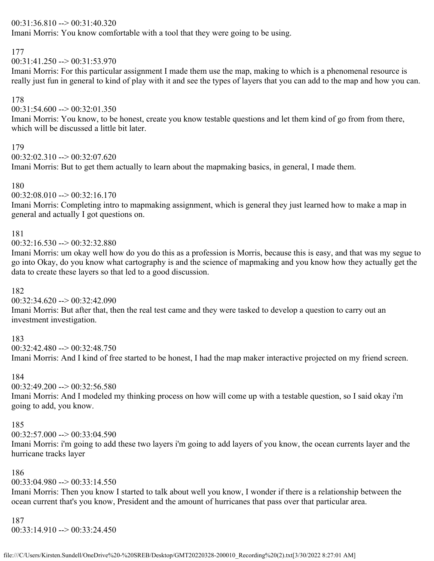### 00:31:36.810 --> 00:31:40.320

Imani Morris: You know comfortable with a tool that they were going to be using.

### 177

 $00:31:41.250 \rightarrow 00:31:53.970$ 

Imani Morris: For this particular assignment I made them use the map, making to which is a phenomenal resource is really just fun in general to kind of play with it and see the types of layers that you can add to the map and how you can.

## 178

 $00:31:54.600 \rightarrow 00:32:01.350$ 

Imani Morris: You know, to be honest, create you know testable questions and let them kind of go from from there, which will be discussed a little bit later.

## 179

 $00:32:02.310 \rightarrow 00:32:07.620$ 

Imani Morris: But to get them actually to learn about the mapmaking basics, in general, I made them.

## 180

 $00:32:08.010 \rightarrow 00:32:16.170$ 

Imani Morris: Completing intro to mapmaking assignment, which is general they just learned how to make a map in general and actually I got questions on.

## 181

 $00:32:16.530 \rightarrow 00:32:32.880$ 

Imani Morris: um okay well how do you do this as a profession is Morris, because this is easy, and that was my segue to go into Okay, do you know what cartography is and the science of mapmaking and you know how they actually get the data to create these layers so that led to a good discussion.

## 182

 $00:32:34.620 \rightarrow 00:32:42.090$ 

Imani Morris: But after that, then the real test came and they were tasked to develop a question to carry out an investment investigation.

## 183

00:32:42.480 --> 00:32:48.750

Imani Morris: And I kind of free started to be honest, I had the map maker interactive projected on my friend screen.

## 184

 $00:32:49.200 \rightarrow 00:32:56.580$ 

Imani Morris: And I modeled my thinking process on how will come up with a testable question, so I said okay i'm going to add, you know.

## 185

 $00:32:57.000 \rightarrow 00:33:04.590$ 

Imani Morris: i'm going to add these two layers i'm going to add layers of you know, the ocean currents layer and the hurricane tracks layer

## 186

 $00:33:04.980 \rightarrow 00:33:14.550$ 

Imani Morris: Then you know I started to talk about well you know, I wonder if there is a relationship between the ocean current that's you know, President and the amount of hurricanes that pass over that particular area.

## 187

 $00:33:14.910 \rightarrow 00:33:24.450$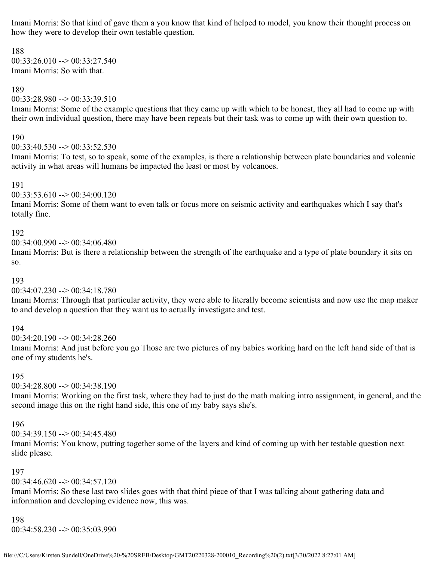Imani Morris: So that kind of gave them a you know that kind of helped to model, you know their thought process on how they were to develop their own testable question.

188  $00:33:26.010 \rightarrow 00:33:27.540$ Imani Morris: So with that.

#### 189

00:33:28.980 --> 00:33:39.510

Imani Morris: Some of the example questions that they came up with which to be honest, they all had to come up with their own individual question, there may have been repeats but their task was to come up with their own question to.

#### 190

 $00:33:40.530 \rightarrow 00:33:52.530$ 

Imani Morris: To test, so to speak, some of the examples, is there a relationship between plate boundaries and volcanic activity in what areas will humans be impacted the least or most by volcanoes.

191

 $00:33:53.610 \rightarrow 00:34:00.120$ 

Imani Morris: Some of them want to even talk or focus more on seismic activity and earthquakes which I say that's totally fine.

#### 192

 $00:34:00.990 \rightarrow 00:34:06.480$ 

Imani Morris: But is there a relationship between the strength of the earthquake and a type of plate boundary it sits on so.

#### 193

00:34:07.230 --> 00:34:18.780

Imani Morris: Through that particular activity, they were able to literally become scientists and now use the map maker to and develop a question that they want us to actually investigate and test.

194

00:34:20.190 --> 00:34:28.260

Imani Morris: And just before you go Those are two pictures of my babies working hard on the left hand side of that is one of my students he's.

#### 195

00:34:28.800 --> 00:34:38.190

Imani Morris: Working on the first task, where they had to just do the math making intro assignment, in general, and the second image this on the right hand side, this one of my baby says she's.

#### 196

00:34:39.150 --> 00:34:45.480

Imani Morris: You know, putting together some of the layers and kind of coming up with her testable question next slide please.

#### 197

00:34:46.620 --> 00:34:57.120

Imani Morris: So these last two slides goes with that third piece of that I was talking about gathering data and information and developing evidence now, this was.

#### 198

00:34:58.230 --> 00:35:03.990

file:///C/Users/Kirsten.Sundell/OneDrive%20-%20SREB/Desktop/GMT20220328-200010\_Recording%20(2).txt[3/30/2022 8:27:01 AM]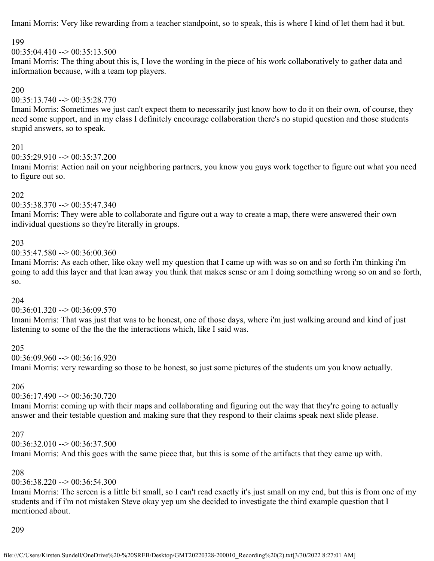Imani Morris: Very like rewarding from a teacher standpoint, so to speak, this is where I kind of let them had it but.

### 199

#### $00:35:04.410 \rightarrow 00:35:13.500$

Imani Morris: The thing about this is, I love the wording in the piece of his work collaboratively to gather data and information because, with a team top players.

#### 200

 $00:35:13.740 \rightarrow 00:35:28.770$ 

Imani Morris: Sometimes we just can't expect them to necessarily just know how to do it on their own, of course, they need some support, and in my class I definitely encourage collaboration there's no stupid question and those students stupid answers, so to speak.

#### 201

 $00:35:29.910 \rightarrow 00:35:37.200$ 

Imani Morris: Action nail on your neighboring partners, you know you guys work together to figure out what you need to figure out so.

#### 202

### 00:35:38.370 --> 00:35:47.340

Imani Morris: They were able to collaborate and figure out a way to create a map, there were answered their own individual questions so they're literally in groups.

### 203

00:35:47.580 --> 00:36:00.360

Imani Morris: As each other, like okay well my question that I came up with was so on and so forth i'm thinking i'm going to add this layer and that lean away you think that makes sense or am I doing something wrong so on and so forth, so.

### 204

### 00:36:01.320 --> 00:36:09.570

Imani Morris: That was just that was to be honest, one of those days, where i'm just walking around and kind of just listening to some of the the the the interactions which, like I said was.

### 205

00:36:09.960 --> 00:36:16.920 Imani Morris: very rewarding so those to be honest, so just some pictures of the students um you know actually.

## 206

 $00:36:17.490 \rightarrow 00:36:30.720$ 

Imani Morris: coming up with their maps and collaborating and figuring out the way that they're going to actually answer and their testable question and making sure that they respond to their claims speak next slide please.

#### 207

00:36:32.010 --> 00:36:37.500

Imani Morris: And this goes with the same piece that, but this is some of the artifacts that they came up with.

### 208

### 00:36:38.220 --> 00:36:54.300

Imani Morris: The screen is a little bit small, so I can't read exactly it's just small on my end, but this is from one of my students and if i'm not mistaken Steve okay yep um she decided to investigate the third example question that I mentioned about.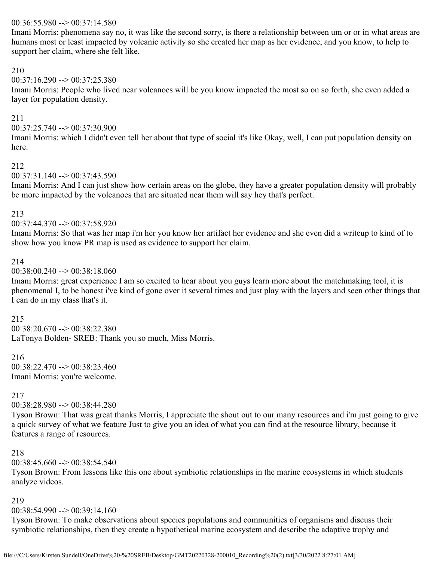### $00:36:55.980 \rightarrow 00:37:14.580$

Imani Morris: phenomena say no, it was like the second sorry, is there a relationship between um or or in what areas are humans most or least impacted by volcanic activity so she created her map as her evidence, and you know, to help to support her claim, where she felt like.

### 210

 $00:37:16.290 \rightarrow 00:37:25.380$ 

Imani Morris: People who lived near volcanoes will be you know impacted the most so on so forth, she even added a layer for population density.

### 211

00:37:25.740 --> 00:37:30.900

Imani Morris: which I didn't even tell her about that type of social it's like Okay, well, I can put population density on here.

### 212

00:37:31.140 --> 00:37:43.590

Imani Morris: And I can just show how certain areas on the globe, they have a greater population density will probably be more impacted by the volcanoes that are situated near them will say hey that's perfect.

#### 213

 $00:37:44.370 \rightarrow 00:37:58.920$ 

Imani Morris: So that was her map i'm her you know her artifact her evidence and she even did a writeup to kind of to show how you know PR map is used as evidence to support her claim.

#### 214

#### $00:38:00.240 \rightarrow 00:38:18.060$

Imani Morris: great experience I am so excited to hear about you guys learn more about the matchmaking tool, it is phenomenal I, to be honest i've kind of gone over it several times and just play with the layers and seen other things that I can do in my class that's it.

#### 215

 $00:38:20.670 \rightarrow 00:38:22.380$ LaTonya Bolden- SREB: Thank you so much, Miss Morris.

### 216

 $00:38:22.470 \rightarrow 00:38:23.460$ Imani Morris: you're welcome.

### 217

00:38:28.980 --> 00:38:44.280

Tyson Brown: That was great thanks Morris, I appreciate the shout out to our many resources and i'm just going to give a quick survey of what we feature Just to give you an idea of what you can find at the resource library, because it features a range of resources.

#### 218

 $00:38:45.660 \rightarrow 00:38:54.540$ 

Tyson Brown: From lessons like this one about symbiotic relationships in the marine ecosystems in which students analyze videos.

#### 219

 $00:38:54.990 \rightarrow 00:39:14.160$ 

Tyson Brown: To make observations about species populations and communities of organisms and discuss their symbiotic relationships, then they create a hypothetical marine ecosystem and describe the adaptive trophy and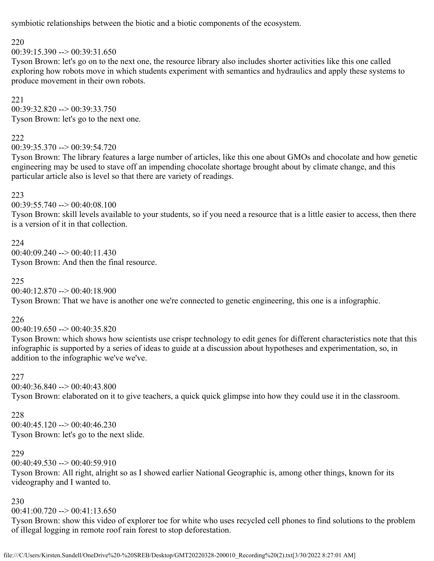symbiotic relationships between the biotic and a biotic components of the ecosystem.

## 220

 $00:39:15.390 \rightarrow 00:39:31.650$ 

Tyson Brown: let's go on to the next one, the resource library also includes shorter activities like this one called exploring how robots move in which students experiment with semantics and hydraulics and apply these systems to produce movement in their own robots.

221  $00:39:32.820 \rightarrow 00:39:33.750$ Tyson Brown: let's go to the next one.

## 222

00:39:35.370 --> 00:39:54.720

Tyson Brown: The library features a large number of articles, like this one about GMOs and chocolate and how genetic engineering may be used to stave off an impending chocolate shortage brought about by climate change, and this particular article also is level so that there are variety of readings.

### 223

00:39:55.740 --> 00:40:08.100

Tyson Brown: skill levels available to your students, so if you need a resource that is a little easier to access, then there is a version of it in that collection.

224 00:40:09.240 --> 00:40:11.430 Tyson Brown: And then the final resource.

## 225

 $00:40:12.870 \rightarrow 00:40:18.900$ Tyson Brown: That we have is another one we're connected to genetic engineering, this one is a infographic.

## 226

 $00:40:19.650 \rightarrow 00:40:35.820$ 

Tyson Brown: which shows how scientists use crispr technology to edit genes for different characteristics note that this infographic is supported by a series of ideas to guide at a discussion about hypotheses and experimentation, so, in addition to the infographic we've we've.

## 227

00:40:36.840 --> 00:40:43.800 Tyson Brown: elaborated on it to give teachers, a quick quick glimpse into how they could use it in the classroom.

## 228

 $00:40:45.120 \rightarrow 00:40:46.230$ Tyson Brown: let's go to the next slide.

## 229

 $00:40:49.530 \rightarrow 00:40:59.910$ 

Tyson Brown: All right, alright so as I showed earlier National Geographic is, among other things, known for its videography and I wanted to.

## 230

 $00:41:00.720 \rightarrow 00:41:13.650$ 

Tyson Brown: show this video of explorer toe for white who uses recycled cell phones to find solutions to the problem of illegal logging in remote roof rain forest to stop deforestation.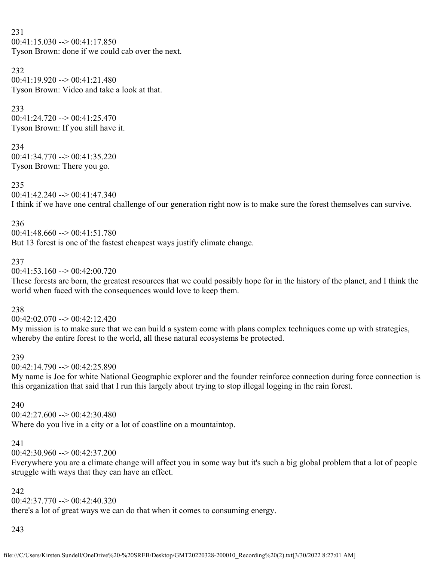231  $00:41:15.030 \rightarrow 00:41:17.850$ Tyson Brown: done if we could cab over the next.

### 232  $00:41:19.920 \rightarrow 00:41:21.480$ Tyson Brown: Video and take a look at that.

233

 $00:41:24.720 \rightarrow 00:41:25.470$ Tyson Brown: If you still have it.

234

00:41:34.770 --> 00:41:35.220 Tyson Brown: There you go.

235

 $00:41:42.240 \rightarrow 00:41:47.340$ I think if we have one central challenge of our generation right now is to make sure the forest themselves can survive.

236

00:41:48.660 --> 00:41:51.780

But 13 forest is one of the fastest cheapest ways justify climate change.

237

 $0.41:53.160 \rightarrow 0.42:00.720$ 

These forests are born, the greatest resources that we could possibly hope for in the history of the planet, and I think the world when faced with the consequences would love to keep them.

238

 $00:42:02.070 \rightarrow 00:42:12.420$ 

My mission is to make sure that we can build a system come with plans complex techniques come up with strategies, whereby the entire forest to the world, all these natural ecosystems be protected.

## 239

 $00:42:14.790 \rightarrow 00:42:25.890$ 

My name is Joe for white National Geographic explorer and the founder reinforce connection during force connection is this organization that said that I run this largely about trying to stop illegal logging in the rain forest.

## 240

00:42:27.600 --> 00:42:30.480 Where do you live in a city or a lot of coastline on a mountaintop.

## 241

 $00:42:30.960 \rightarrow 00:42:37.200$ 

Everywhere you are a climate change will affect you in some way but it's such a big global problem that a lot of people struggle with ways that they can have an effect.

## 242

 $00:42:37.770 \rightarrow 00:42:40.320$ 

there's a lot of great ways we can do that when it comes to consuming energy.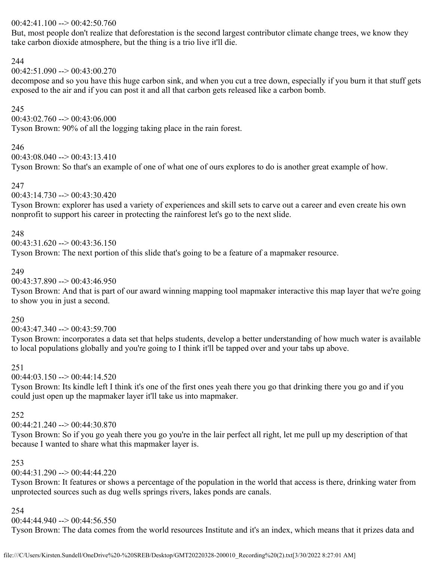### 00:42:41.100 --> 00:42:50.760

But, most people don't realize that deforestation is the second largest contributor climate change trees, we know they take carbon dioxide atmosphere, but the thing is a trio live it'll die.

### 244

 $00:42:51.090 \rightarrow 00:43:00.270$ 

decompose and so you have this huge carbon sink, and when you cut a tree down, especially if you burn it that stuff gets exposed to the air and if you can post it and all that carbon gets released like a carbon bomb.

## 245

 $00:43:02.760 \rightarrow 00:43:06.000$ 

Tyson Brown: 90% of all the logging taking place in the rain forest.

## 246

00:43:08.040 --> 00:43:13.410

Tyson Brown: So that's an example of one of what one of ours explores to do is another great example of how.

## 247

00:43:14.730 --> 00:43:30.420

Tyson Brown: explorer has used a variety of experiences and skill sets to carve out a career and even create his own nonprofit to support his career in protecting the rainforest let's go to the next slide.

## 248

 $00:43:31.620 \rightarrow 00:43:36.150$ 

Tyson Brown: The next portion of this slide that's going to be a feature of a mapmaker resource.

### 249

 $00:43:37.890 \rightarrow 00:43:46.950$ 

Tyson Brown: And that is part of our award winning mapping tool mapmaker interactive this map layer that we're going to show you in just a second.

### 250

 $00:43:47.340 \rightarrow 00:43:59.700$ 

Tyson Brown: incorporates a data set that helps students, develop a better understanding of how much water is available to local populations globally and you're going to I think it'll be tapped over and your tabs up above.

## 251

 $00:44:03.150 \rightarrow 00:44:14.520$ 

Tyson Brown: Its kindle left I think it's one of the first ones yeah there you go that drinking there you go and if you could just open up the mapmaker layer it'll take us into mapmaker.

## 252

00:44:21.240 --> 00:44:30.870

Tyson Brown: So if you go yeah there you go you're in the lair perfect all right, let me pull up my description of that because I wanted to share what this mapmaker layer is.

## 253

 $00:44:31.290 \rightarrow 00:44:44.220$ 

Tyson Brown: It features or shows a percentage of the population in the world that access is there, drinking water from unprotected sources such as dug wells springs rivers, lakes ponds are canals.

### 254

00:44:44.940 --> 00:44:56.550

Tyson Brown: The data comes from the world resources Institute and it's an index, which means that it prizes data and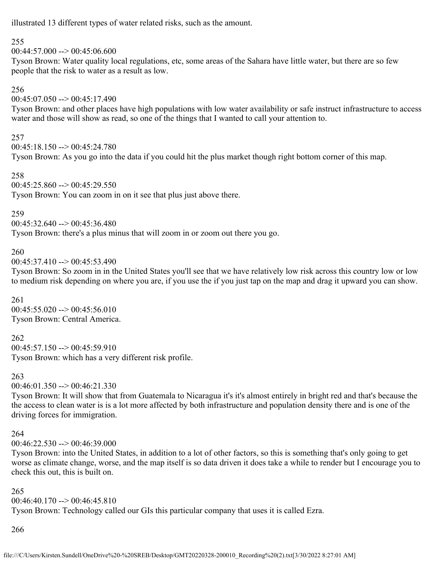illustrated 13 different types of water related risks, such as the amount.

## 255

 $00:44:57.000 \rightarrow 00:45:06.600$ 

Tyson Brown: Water quality local regulations, etc, some areas of the Sahara have little water, but there are so few people that the risk to water as a result as low.

## 256

 $00:45:07.050 \rightarrow 00:45:17.490$ 

Tyson Brown: and other places have high populations with low water availability or safe instruct infrastructure to access water and those will show as read, so one of the things that I wanted to call your attention to.

## 257

00:45:18.150 --> 00:45:24.780 Tyson Brown: As you go into the data if you could hit the plus market though right bottom corner of this map.

### 258

 $00:45:25.860 \rightarrow 00:45:29.550$ Tyson Brown: You can zoom in on it see that plus just above there.

### 259

 $00:45:32.640 \rightarrow 00:45:36.480$ Tyson Brown: there's a plus minus that will zoom in or zoom out there you go.

## 260

 $00:45:37.410 \rightarrow 00:45:53.490$ 

Tyson Brown: So zoom in in the United States you'll see that we have relatively low risk across this country low or low to medium risk depending on where you are, if you use the if you just tap on the map and drag it upward you can show.

## 261

 $00:45:55.020 \rightarrow 00:45:56.010$ Tyson Brown: Central America.

262

 $00:45:57.150 \rightarrow 00:45:59.910$ Tyson Brown: which has a very different risk profile.

### 263

 $00:46:01.350 \rightarrow 00:46:21.330$ 

Tyson Brown: It will show that from Guatemala to Nicaragua it's it's almost entirely in bright red and that's because the the access to clean water is is a lot more affected by both infrastructure and population density there and is one of the driving forces for immigration.

### 264

00:46:22.530 --> 00:46:39.000

Tyson Brown: into the United States, in addition to a lot of other factors, so this is something that's only going to get worse as climate change, worse, and the map itself is so data driven it does take a while to render but I encourage you to check this out, this is built on.

## 265

 $00:46:40.170 \rightarrow 00:46:45.810$ Tyson Brown: Technology called our GIs this particular company that uses it is called Ezra.

## 266

file:///C/Users/Kirsten.Sundell/OneDrive%20-%20SREB/Desktop/GMT20220328-200010\_Recording%20(2).txt[3/30/2022 8:27:01 AM]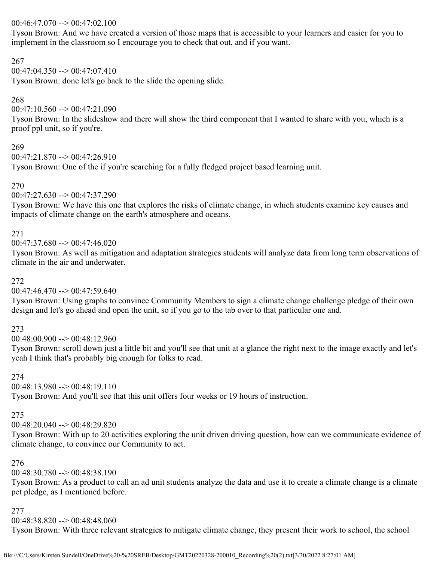## 00:46:47.070 --> 00:47:02.100

Tyson Brown: And we have created a version of those maps that is accessible to your learners and easier for you to implement in the classroom so I encourage you to check that out, and if you want.

### 267

## 00:47:04.350 --> 00:47:07.410

Tyson Brown: done let's go back to the slide the opening slide.

## 268

 $00:47:10.560 \rightarrow 00:47:21.090$ 

Tyson Brown: In the slideshow and there will show the third component that I wanted to share with you, which is a proof ppl unit, so if you're.

## 269

 $00:47:21.870 \rightarrow 00:47:26.910$ 

Tyson Brown: One of the if you're searching for a fully fledged project based learning unit.

## 270

 $00:47:27.630 \rightarrow 00:47:37.290$ 

Tyson Brown: We have this one that explores the risks of climate change, in which students examine key causes and impacts of climate change on the earth's atmosphere and oceans.

## 271

 $00:47:37.680 \rightarrow 00:47:46.020$ 

Tyson Brown: As well as mitigation and adaptation strategies students will analyze data from long term observations of climate in the air and underwater.

## 272

 $00:47:46.470 \rightarrow 00:47:59.640$ 

Tyson Brown: Using graphs to convince Community Members to sign a climate change challenge pledge of their own design and let's go ahead and open the unit, so if you go to the tab over to that particular one and.

## 273

00:48:00.900 --> 00:48:12.960

Tyson Brown: scroll down just a little bit and you'll see that unit at a glance the right next to the image exactly and let's yeah I think that's probably big enough for folks to read.

## 274

 $00:48:13.980 \rightarrow 00:48:19.110$ 

Tyson Brown: And you'll see that this unit offers four weeks or 19 hours of instruction.

## 275

 $00:48:20.040 \rightarrow 00:48:29.820$ 

Tyson Brown: With up to 20 activities exploring the unit driven driving question, how can we communicate evidence of climate change, to convince our Community to act.

## 276

 $00:48:30.780 \rightarrow 00:48:38.190$ 

Tyson Brown: As a product to call an ad unit students analyze the data and use it to create a climate change is a climate pet pledge, as I mentioned before.

### 277

00:48:38.820 --> 00:48:48.060

Tyson Brown: With three relevant strategies to mitigate climate change, they present their work to school, the school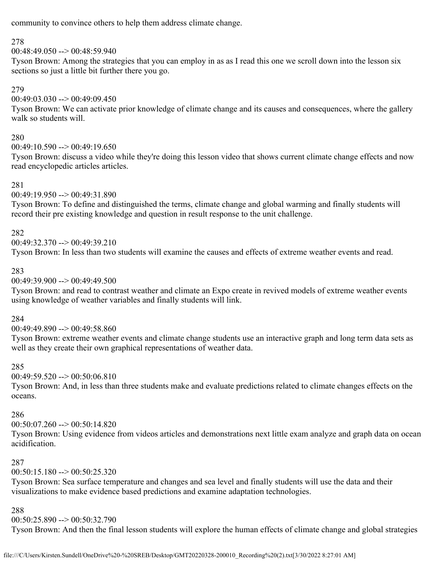community to convince others to help them address climate change.

## 278

 $00:48:49.050 \rightarrow 00:48:59.940$ 

Tyson Brown: Among the strategies that you can employ in as as I read this one we scroll down into the lesson six sections so just a little bit further there you go.

## 279

 $00:49:03.030 \rightarrow 00:49:09.450$ 

Tyson Brown: We can activate prior knowledge of climate change and its causes and consequences, where the gallery walk so students will.

## 280

 $00:49:10.590 \rightarrow 00:49:19.650$ 

Tyson Brown: discuss a video while they're doing this lesson video that shows current climate change effects and now read encyclopedic articles articles.

## 281

00:49:19.950 --> 00:49:31.890

Tyson Brown: To define and distinguished the terms, climate change and global warming and finally students will record their pre existing knowledge and question in result response to the unit challenge.

## 282

00:49:32.370 --> 00:49:39.210

Tyson Brown: In less than two students will examine the causes and effects of extreme weather events and read.

## 283

00:49:39.900 --> 00:49:49.500

Tyson Brown: and read to contrast weather and climate an Expo create in revived models of extreme weather events using knowledge of weather variables and finally students will link.

## 284

00:49:49.890 --> 00:49:58.860

Tyson Brown: extreme weather events and climate change students use an interactive graph and long term data sets as well as they create their own graphical representations of weather data.

## 285

 $00:49:59.520 \rightarrow 00:50:06.810$ 

Tyson Brown: And, in less than three students make and evaluate predictions related to climate changes effects on the oceans.

## 286

 $00:50:07.260 \rightarrow 00:50:14.820$ 

Tyson Brown: Using evidence from videos articles and demonstrations next little exam analyze and graph data on ocean acidification.

## 287

 $00:50:15.180 \rightarrow 00:50:25.320$ 

Tyson Brown: Sea surface temperature and changes and sea level and finally students will use the data and their visualizations to make evidence based predictions and examine adaptation technologies.

## 288

 $00:50:25.890 \rightarrow 00:50:32.790$ 

Tyson Brown: And then the final lesson students will explore the human effects of climate change and global strategies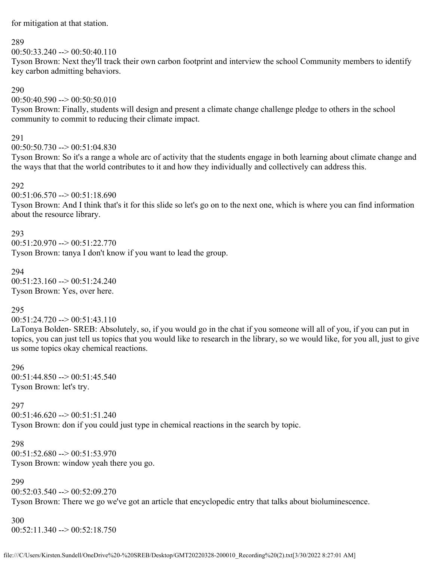for mitigation at that station.

#### 289

 $00:50:33.240 \rightarrow 00:50:40.110$ 

Tyson Brown: Next they'll track their own carbon footprint and interview the school Community members to identify key carbon admitting behaviors.

### 290

 $00:50:40.590 \rightarrow 00:50:50.010$ 

Tyson Brown: Finally, students will design and present a climate change challenge pledge to others in the school community to commit to reducing their climate impact.

### 291

 $00:50:50.730 \rightarrow 00:51:04.830$ 

Tyson Brown: So it's a range a whole arc of activity that the students engage in both learning about climate change and the ways that that the world contributes to it and how they individually and collectively can address this.

### 292

 $00:51:06.570 \rightarrow 00:51:18.690$ 

Tyson Brown: And I think that's it for this slide so let's go on to the next one, which is where you can find information about the resource library.

### 293

 $00:51:20.970 \rightarrow 00:51:22.770$ Tyson Brown: tanya I don't know if you want to lead the group.

294  $00:51:23.160 \rightarrow 00:51:24.240$ Tyson Brown: Yes, over here.

## 295

 $00:51:24.720 \rightarrow 00:51:43.110$ 

LaTonya Bolden- SREB: Absolutely, so, if you would go in the chat if you someone will all of you, if you can put in topics, you can just tell us topics that you would like to research in the library, so we would like, for you all, just to give us some topics okay chemical reactions.

### 296  $00:51:44.850 \rightarrow 00:51:45.540$ Tyson Brown: let's try.

### 297

 $00:51:46.620 \rightarrow 00:51:51.240$ Tyson Brown: don if you could just type in chemical reactions in the search by topic.

298  $00:51:52.680 \rightarrow 00:51:53.970$ Tyson Brown: window yeah there you go.

### 299

 $00:52:03.540 \rightarrow 00:52:09.270$ Tyson Brown: There we go we've got an article that encyclopedic entry that talks about bioluminescence.

300 00:52:11.340 --> 00:52:18.750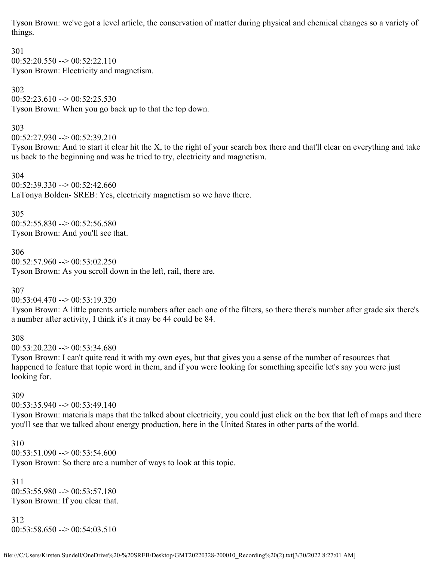Tyson Brown: we've got a level article, the conservation of matter during physical and chemical changes so a variety of things.

301  $00:52:20.550 \rightarrow 00:52:22.110$ Tyson Brown: Electricity and magnetism.

302  $00:52:23.610 \rightarrow 00:52:25.530$ Tyson Brown: When you go back up to that the top down.

303

00:52:27.930 --> 00:52:39.210

Tyson Brown: And to start it clear hit the X, to the right of your search box there and that'll clear on everything and take us back to the beginning and was he tried to try, electricity and magnetism.

304  $00:52:39.330 \rightarrow 00:52:42.660$ LaTonya Bolden- SREB: Yes, electricity magnetism so we have there.

305

 $00:52:55.830 \rightarrow 00:52:56.580$ Tyson Brown: And you'll see that.

306 00:52:57.960 --> 00:53:02.250 Tyson Brown: As you scroll down in the left, rail, there are.

307

 $00:53:04.470 \rightarrow 00:53:19.320$ 

Tyson Brown: A little parents article numbers after each one of the filters, so there there's number after grade six there's a number after activity, I think it's it may be 44 could be 84.

308

 $00:53:20.220 \rightarrow 00:53:34.680$ 

Tyson Brown: I can't quite read it with my own eyes, but that gives you a sense of the number of resources that happened to feature that topic word in them, and if you were looking for something specific let's say you were just looking for.

309

 $00:53:35.940 \rightarrow 00:53:49.140$ 

Tyson Brown: materials maps that the talked about electricity, you could just click on the box that left of maps and there you'll see that we talked about energy production, here in the United States in other parts of the world.

310  $00:53:51.090 \rightarrow 00:53:54.600$ Tyson Brown: So there are a number of ways to look at this topic.

311 00:53:55.980 --> 00:53:57.180 Tyson Brown: If you clear that.

312  $00:53:58.650 \rightarrow 00:54:03.510$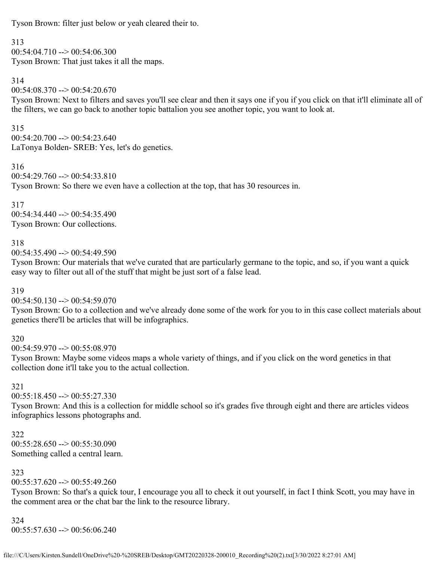Tyson Brown: filter just below or yeah cleared their to.

313

 $00:54:04.710 \rightarrow 00:54:06.300$ Tyson Brown: That just takes it all the maps.

314

 $00:54:08.370 \rightarrow 00:54:20.670$ 

Tyson Brown: Next to filters and saves you'll see clear and then it says one if you if you click on that it'll eliminate all of the filters, we can go back to another topic battalion you see another topic, you want to look at.

315  $00:54:20.700 \rightarrow 00:54:23.640$ LaTonya Bolden- SREB: Yes, let's do genetics.

316 00:54:29.760 --> 00:54:33.810 Tyson Brown: So there we even have a collection at the top, that has 30 resources in.

317 00:54:34.440 --> 00:54:35.490 Tyson Brown: Our collections.

## 318

00:54:35.490 --> 00:54:49.590

Tyson Brown: Our materials that we've curated that are particularly germane to the topic, and so, if you want a quick easy way to filter out all of the stuff that might be just sort of a false lead.

319

 $00:54:50.130 \rightarrow 00:54:59.070$ 

Tyson Brown: Go to a collection and we've already done some of the work for you to in this case collect materials about genetics there'll be articles that will be infographics.

## 320

 $00:54:59.970 \rightarrow 00:55:08.970$ 

Tyson Brown: Maybe some videos maps a whole variety of things, and if you click on the word genetics in that collection done it'll take you to the actual collection.

## 321

 $00:55:18.450 \rightarrow 00:55:27.330$ 

Tyson Brown: And this is a collection for middle school so it's grades five through eight and there are articles videos infographics lessons photographs and.

322  $00:55:28.650 \rightarrow 00:55:30.090$ Something called a central learn.

## 323

 $00:55:37.620 \rightarrow 00:55:49.260$ 

Tyson Brown: So that's a quick tour, I encourage you all to check it out yourself, in fact I think Scott, you may have in the comment area or the chat bar the link to the resource library.

324  $00:55:57.630 \rightarrow 00:56:06.240$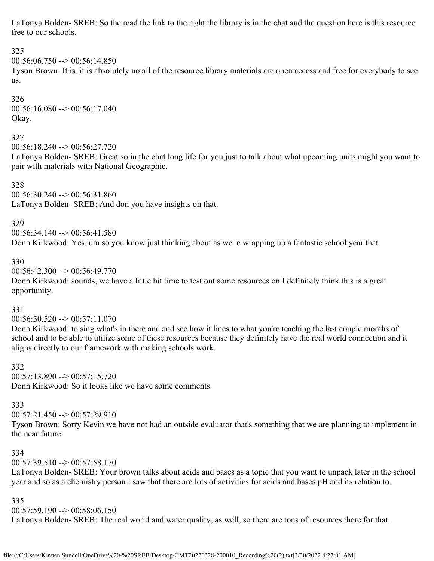LaTonya Bolden- SREB: So the read the link to the right the library is in the chat and the question here is this resource free to our schools.

## 325

 $00:56:06.750 \rightarrow 00:56:14.850$ 

Tyson Brown: It is, it is absolutely no all of the resource library materials are open access and free for everybody to see us.

326  $00:56:16.080 \rightarrow 00:56:17.040$ Okay.

### 327

00:56:18.240 --> 00:56:27.720

LaTonya Bolden- SREB: Great so in the chat long life for you just to talk about what upcoming units might you want to pair with materials with National Geographic.

328  $00:56:30.240 \rightarrow 00:56:31.860$ LaTonya Bolden- SREB: And don you have insights on that.

### 329

00:56:34.140 --> 00:56:41.580

Donn Kirkwood: Yes, um so you know just thinking about as we're wrapping up a fantastic school year that.

### 330

 $00:56:42.300 \rightarrow 00:56:49.770$ 

Donn Kirkwood: sounds, we have a little bit time to test out some resources on I definitely think this is a great opportunity.

### 331

 $00:56:50.520 \rightarrow 00:57:11.070$ 

Donn Kirkwood: to sing what's in there and and see how it lines to what you're teaching the last couple months of school and to be able to utilize some of these resources because they definitely have the real world connection and it aligns directly to our framework with making schools work.

332  $00:57:13.890 \rightarrow 00:57:15.720$ Donn Kirkwood: So it looks like we have some comments.

### 333

 $00:57:21.450 \rightarrow 00:57:29.910$ 

Tyson Brown: Sorry Kevin we have not had an outside evaluator that's something that we are planning to implement in the near future.

### 334

00:57:39.510 --> 00:57:58.170

LaTonya Bolden- SREB: Your brown talks about acids and bases as a topic that you want to unpack later in the school year and so as a chemistry person I saw that there are lots of activities for acids and bases pH and its relation to.

### 335

 $00:57:59.190 \rightarrow 00:58:06.150$ 

LaTonya Bolden- SREB: The real world and water quality, as well, so there are tons of resources there for that.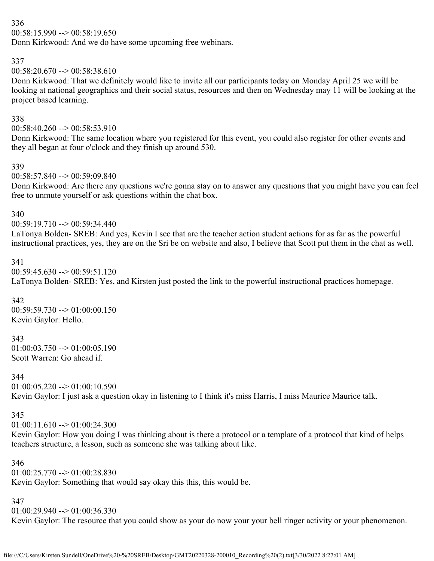## 336

 $00:58:15.990 \rightarrow 00:58:19.650$ 

Donn Kirkwood: And we do have some upcoming free webinars.

### 337

 $00:58:20.670 \rightarrow 00:58:38.610$ 

Donn Kirkwood: That we definitely would like to invite all our participants today on Monday April 25 we will be looking at national geographics and their social status, resources and then on Wednesday may 11 will be looking at the project based learning.

## 338

 $00:58:40.260 \rightarrow 00:58:53.910$ 

Donn Kirkwood: The same location where you registered for this event, you could also register for other events and they all began at four o'clock and they finish up around 530.

### 339

 $00:58:57.840 \rightarrow 00:59:09.840$ 

Donn Kirkwood: Are there any questions we're gonna stay on to answer any questions that you might have you can feel free to unmute yourself or ask questions within the chat box.

### 340

 $00:59:19.710 \rightarrow 00:59:34.440$ 

LaTonya Bolden- SREB: And yes, Kevin I see that are the teacher action student actions for as far as the powerful instructional practices, yes, they are on the Sri be on website and also, I believe that Scott put them in the chat as well.

### 341

 $00:59:45.630 \rightarrow 00:59:51.120$ 

LaTonya Bolden- SREB: Yes, and Kirsten just posted the link to the powerful instructional practices homepage.

## 342

00:59:59.730 --> 01:00:00.150 Kevin Gaylor: Hello.

## 343

 $01:00:03.750 \rightarrow 01:00:05.190$ Scott Warren: Go ahead if.

## 344

 $01:00:05.220 \rightarrow 01:00:10.590$ 

Kevin Gaylor: I just ask a question okay in listening to I think it's miss Harris, I miss Maurice Maurice talk.

## 345

 $01:00:11.610 \rightarrow 01:00:24.300$ 

Kevin Gaylor: How you doing I was thinking about is there a protocol or a template of a protocol that kind of helps teachers structure, a lesson, such as someone she was talking about like.

### 346

 $01:00:25.770 \rightarrow 01:00:28.830$ 

Kevin Gaylor: Something that would say okay this this, this would be.

### 347

 $01:00:29.940 \rightarrow 01:00:36.330$ 

Kevin Gaylor: The resource that you could show as your do now your your bell ringer activity or your phenomenon.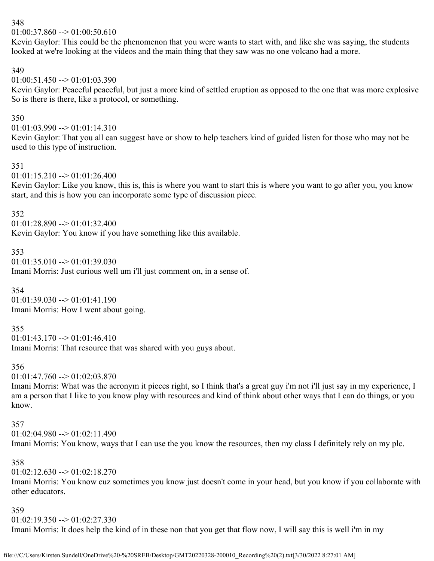## 348

 $01:00:37.860 \rightarrow 01:00:50.610$ 

Kevin Gaylor: This could be the phenomenon that you were wants to start with, and like she was saying, the students looked at we're looking at the videos and the main thing that they saw was no one volcano had a more.

### 349

 $01:00:51.450 \rightarrow 01:01:03.390$ 

Kevin Gaylor: Peaceful peaceful, but just a more kind of settled eruption as opposed to the one that was more explosive So is there is there, like a protocol, or something.

## 350

 $01:01:03.990 \rightarrow 01:01:14.310$ 

Kevin Gaylor: That you all can suggest have or show to help teachers kind of guided listen for those who may not be used to this type of instruction.

### 351

 $01:01:15.210 \rightarrow 01:01:26.400$ 

Kevin Gaylor: Like you know, this is, this is where you want to start this is where you want to go after you, you know start, and this is how you can incorporate some type of discussion piece.

### 352

 $01:01:28.890 \rightarrow 01:01:32.400$ 

Kevin Gaylor: You know if you have something like this available.

## 353

 $01:01:35.010 \rightarrow 01:01:39.030$ 

Imani Morris: Just curious well um i'll just comment on, in a sense of.

## 354

 $01:01:39.030 \rightarrow 01:01:41.190$ Imani Morris: How I went about going.

## 355

01:01:43.170 --> 01:01:46.410

Imani Morris: That resource that was shared with you guys about.

## 356

01:01:47.760 --> 01:02:03.870

Imani Morris: What was the acronym it pieces right, so I think that's a great guy i'm not i'll just say in my experience, I am a person that I like to you know play with resources and kind of think about other ways that I can do things, or you know.

### 357

 $01:02:04.980 \rightarrow 01:02:11.490$ 

Imani Morris: You know, ways that I can use the you know the resources, then my class I definitely rely on my plc.

## 358

 $01:02:12.630 \rightarrow 01:02:18.270$ 

Imani Morris: You know cuz sometimes you know just doesn't come in your head, but you know if you collaborate with other educators.

## 359

 $01:02:19.350 \rightarrow 01:02:27.330$ 

Imani Morris: It does help the kind of in these non that you get that flow now, I will say this is well i'm in my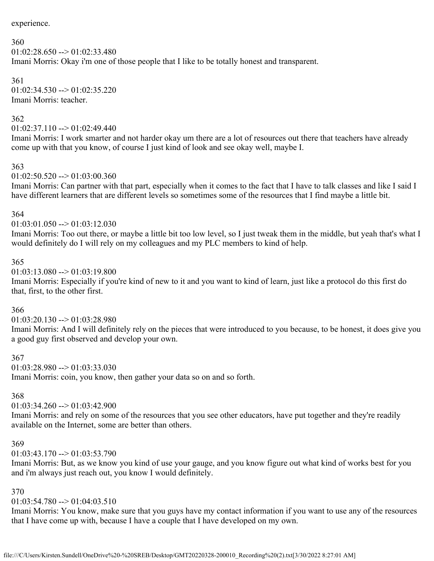experience.

#### 360  $01:02:28.650 \rightarrow 01:02:33.480$ Imani Morris: Okay i'm one of those people that I like to be totally honest and transparent.

361  $01:02:34.530 \rightarrow 01:02:35.220$ Imani Morris: teacher.

## 362

 $01:02:37.110 \rightarrow 01:02:49.440$ 

Imani Morris: I work smarter and not harder okay um there are a lot of resources out there that teachers have already come up with that you know, of course I just kind of look and see okay well, maybe I.

### 363

### $01:02:50.520 \rightarrow 01:03:00.360$

Imani Morris: Can partner with that part, especially when it comes to the fact that I have to talk classes and like I said I have different learners that are different levels so sometimes some of the resources that I find maybe a little bit.

### 364

### $01:03:01.050 \rightarrow 01:03:12.030$

Imani Morris: Too out there, or maybe a little bit too low level, so I just tweak them in the middle, but yeah that's what I would definitely do I will rely on my colleagues and my PLC members to kind of help.

### 365

## $01:03:13.080 \rightarrow 01:03:19.800$

Imani Morris: Especially if you're kind of new to it and you want to kind of learn, just like a protocol do this first do that, first, to the other first.

## 366

## $01:03:20.130 \rightarrow 01:03:28.980$

Imani Morris: And I will definitely rely on the pieces that were introduced to you because, to be honest, it does give you a good guy first observed and develop your own.

### 367

 $01:03:28.980 \rightarrow 01:03:33.030$ 

Imani Morris: coin, you know, then gather your data so on and so forth.

## 368

## $01:03:34.260 \rightarrow 01:03:42.900$

Imani Morris: and rely on some of the resources that you see other educators, have put together and they're readily available on the Internet, some are better than others.

### 369

## $01:03:43.170 \rightarrow 01:03:53.790$

Imani Morris: But, as we know you kind of use your gauge, and you know figure out what kind of works best for you and i'm always just reach out, you know I would definitely.

## 370

## $01:03:54.780 \rightarrow 01:04:03.510$

Imani Morris: You know, make sure that you guys have my contact information if you want to use any of the resources that I have come up with, because I have a couple that I have developed on my own.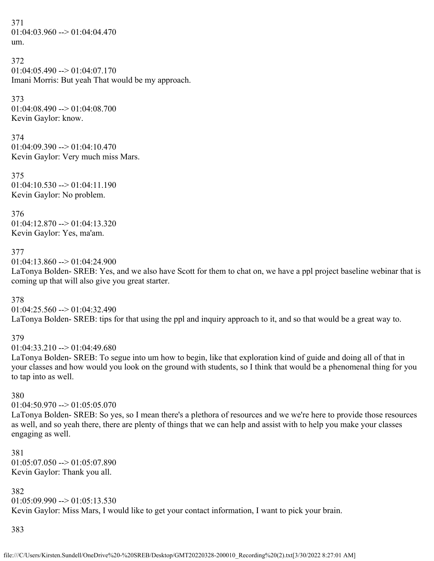371  $01:04:03.960 \rightarrow 01:04:04.470$ um.

```
372
01:04:05.490 \rightarrow 01:04:07.170Imani Morris: But yeah That would be my approach.
```
373  $01:04:08.490 \rightarrow 01:04:08.700$ Kevin Gaylor: know.

374  $01:04:09.390 \rightarrow 01:04:10.470$ Kevin Gaylor: Very much miss Mars.

375  $01:04:10.530 \rightarrow 01:04:11.190$ Kevin Gaylor: No problem.

376  $01:04:12.870 \rightarrow 01:04:13.320$ Kevin Gaylor: Yes, ma'am.

377

 $01:04:13.860 \rightarrow 01:04:24.900$ 

LaTonya Bolden- SREB: Yes, and we also have Scott for them to chat on, we have a ppl project baseline webinar that is coming up that will also give you great starter.

378

 $01:04:25.560 \rightarrow 01:04:32.490$ LaTonya Bolden- SREB: tips for that using the ppl and inquiry approach to it, and so that would be a great way to.

## 379

 $01:04:33.210 \rightarrow 01:04:49.680$ 

LaTonya Bolden- SREB: To segue into um how to begin, like that exploration kind of guide and doing all of that in your classes and how would you look on the ground with students, so I think that would be a phenomenal thing for you to tap into as well.

380

 $01:04:50.970 \rightarrow 01:05:05.070$ 

LaTonya Bolden- SREB: So yes, so I mean there's a plethora of resources and we we're here to provide those resources as well, and so yeah there, there are plenty of things that we can help and assist with to help you make your classes engaging as well.

381  $01:05:07.050 \rightarrow 01:05:07.890$ Kevin Gaylor: Thank you all.

382  $01:05:09.990 \rightarrow 01:05:13.530$ Kevin Gaylor: Miss Mars, I would like to get your contact information, I want to pick your brain.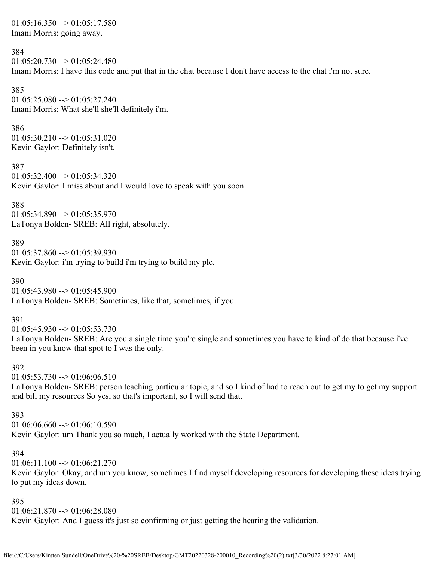$01:05:16.350 \rightarrow 01:05:17.580$ Imani Morris: going away.

#### 384

 $01:05:20.730 \rightarrow 01:05:24.480$ Imani Morris: I have this code and put that in the chat because I don't have access to the chat i'm not sure.

385  $01:05:25.080 \rightarrow 01:05:27.240$ Imani Morris: What she'll she'll definitely i'm.

386  $01:05:30.210 \rightarrow 01:05:31.020$ Kevin Gaylor: Definitely isn't.

387  $01:05:32.400 \rightarrow 01:05:34.320$ Kevin Gaylor: I miss about and I would love to speak with you soon.

388

 $01:05:34.890 \rightarrow 01:05:35.970$ LaTonya Bolden- SREB: All right, absolutely.

389

 $01:05:37.860 \rightarrow 01:05:39.930$ Kevin Gaylor: i'm trying to build i'm trying to build my plc.

390  $01:05:43.980 \rightarrow 01:05:45.900$ LaTonya Bolden- SREB: Sometimes, like that, sometimes, if you.

391

 $01:05:45.930 \rightarrow 01:05:53.730$ 

LaTonya Bolden- SREB: Are you a single time you're single and sometimes you have to kind of do that because i've been in you know that spot to I was the only.

392

 $01:05:53.730 \rightarrow 01:06:06.510$ 

LaTonya Bolden- SREB: person teaching particular topic, and so I kind of had to reach out to get my to get my support and bill my resources So yes, so that's important, so I will send that.

393

 $01:06:06.660 \rightarrow 01:06:10.590$ 

Kevin Gaylor: um Thank you so much, I actually worked with the State Department.

#### 394

 $01:06:11.100 \rightarrow 01:06:21.270$ 

Kevin Gaylor: Okay, and um you know, sometimes I find myself developing resources for developing these ideas trying to put my ideas down.

395

 $01:06:21.870 \rightarrow 01:06:28.080$ 

Kevin Gaylor: And I guess it's just so confirming or just getting the hearing the validation.